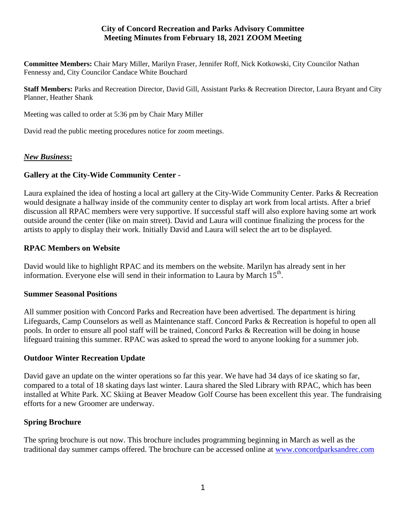### **City of Concord Recreation and Parks Advisory Committee Meeting Minutes from February 18, 2021 ZOOM Meeting**

**Committee Members:** Chair Mary Miller, Marilyn Fraser, Jennifer Roff, Nick Kotkowski, City Councilor Nathan Fennessy and, City Councilor Candace White Bouchard

**Staff Members:** Parks and Recreation Director, David Gill, Assistant Parks & Recreation Director, Laura Bryant and City Planner, Heather Shank

Meeting was called to order at 5:36 pm by Chair Mary Miller

David read the public meeting procedures notice for zoom meetings.

# *New Business***:**

# **Gallery at the City-Wide Community Center -**

Laura explained the idea of hosting a local art gallery at the City-Wide Community Center. Parks & Recreation would designate a hallway inside of the community center to display art work from local artists. After a brief discussion all RPAC members were very supportive. If successful staff will also explore having some art work outside around the center (like on main street). David and Laura will continue finalizing the process for the artists to apply to display their work. Initially David and Laura will select the art to be displayed.

### **RPAC Members on Website**

David would like to highlight RPAC and its members on the website. Marilyn has already sent in her information. Everyone else will send in their information to Laura by March  $15<sup>th</sup>$ .

### **Summer Seasonal Positions**

All summer position with Concord Parks and Recreation have been advertised. The department is hiring Lifeguards, Camp Counselors as well as Maintenance staff. Concord Parks & Recreation is hopeful to open all pools. In order to ensure all pool staff will be trained, Concord Parks & Recreation will be doing in house lifeguard training this summer. RPAC was asked to spread the word to anyone looking for a summer job.

# **Outdoor Winter Recreation Update**

David gave an update on the winter operations so far this year. We have had 34 days of ice skating so far, compared to a total of 18 skating days last winter. Laura shared the Sled Library with RPAC, which has been installed at White Park. XC Skiing at Beaver Meadow Golf Course has been excellent this year. The fundraising efforts for a new Groomer are underway.

# **Spring Brochure**

The spring brochure is out now. This brochure includes programming beginning in March as well as the traditional day summer camps offered. The brochure can be accessed online at [www.concordparksandrec.com](http://www.concordparksandrec.com/)